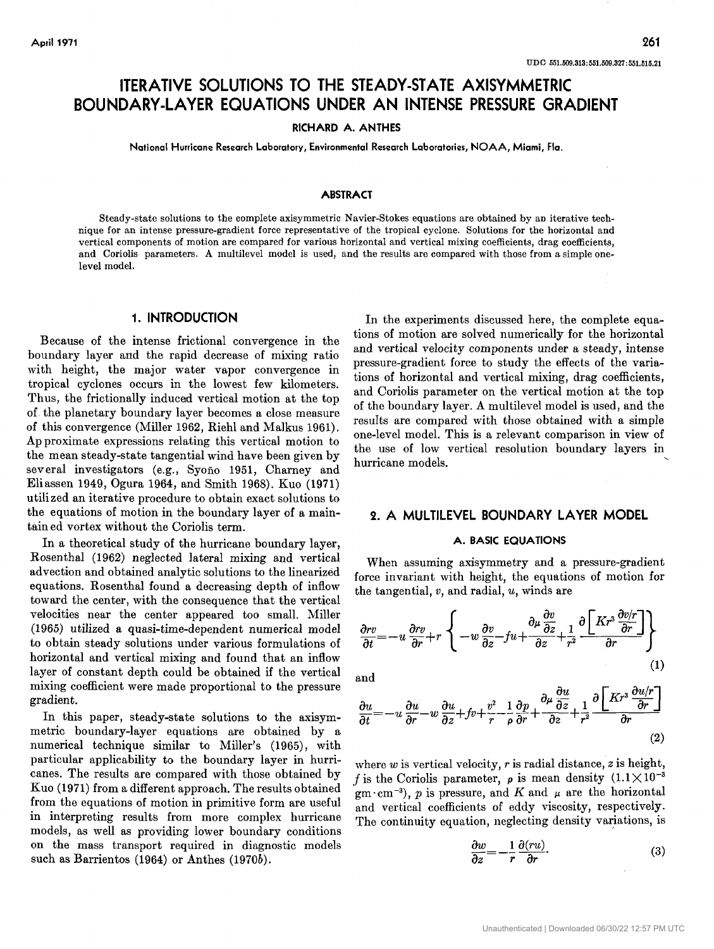# **ITERATIVE SOLUTIONS TO THE STEADY-STATE AXISYMMETRIC BOUNDARY-LAYER EQUATIONS UNDER AN INTENSE PRESSURE GRADIENT**

**RICHARD A. ANTHES** 

**National Hurricane Research Laboratory, Environmental Research Laboratories, NOAA, Miami, Ha.** 

# **ABSTRACT**

Steady-state solutions to the complete axisymmetric Navier-Stokes equations are obtained by an iterative technique for an intense pressure-gradient force representative of the tropical cyclone. Solutions for the horizontal and vertical components of motion are compared for various horizontal and vertical mixing coefficients, drag coefficients, and Coriolis parameters. **A** multilevel model is used, and the results are compared with those from a simple onelevel model.

Because of the intense frictional convergence in the boundary layer and the rapid decrease of mixing ratio with height, the major water vapor convergence in tropical cyclones occurs in the lowest few kilometers. Thus, the frictionally induced vertical motion at the top of the planetary boundary layer becomes a close measure of this convergence (Miller 1962, Riehl and Malkus 1961). Ap proximate expressions relating this vertical motion to the mean steady-state tangential wind have been given by several investigators (e.g., Syono 1951, Charney and Eliassen 1949, Ogura 1964, and Smith 1968). Kuo (1971) utilized an iterative procedure to obtain exact solutions to the equations of motion in the boundary layer of a maintain ed vortex without the Coriolis term.

In a theoretical study **of** the hurricane boundary layer, Rosenthal (1962) neglected lateral mixing and vertical advection and obtained analytic solutions to the linearized equations. Rosenthal found a decreasing depth of inflow toward the center, with the consequence that the vertical velocities near the center appeared too small. Miller (1965) utilized a quasi-time-dependent numerical model to obtain steady solutions under various formulations of horizontal and vertical mixing and found that an inflow layer of constant depth could be obtained if the vertical mixing coefficient were made proportional to the pressure gradient.

In this paper, steady-state solutions to the axisymmetric boundary-layer equations are obtained by a numerical technique similar to Miller's (1965), with particular applicability to the boundary layer in hurricanes. The results are compared with those obtained by Kuo (1971) from a different approach. The results obtained from the equations of motion in primitive form are useful in interpreting results from more complex hurricane models, as well as providing lower boundary conditions on the mass transport required in diagnostic models such as Barrientos (1964) or Anthes (1970b).

**1. INTRODUCTION** In the experiments discussed here, the complete equations of motion are solved numerically for the horizontal and vertical velocity components under a steady, intense pressure-gradient force to study the effects of the variations of horizontal and vertical mixing, drag coefficients, and Coriolis parameter on the vertical motion at the top of the boundary layer. A multilevel model is used, and the resuIts are compared with those obtained with a simple one-level model. This is a relevant comparison in view of the use of low vertical resolution boundary layers in hurricane models.

# **2. A MULTILEVEL BOUNDARY LAYER MODEL**

#### **A. BASIC EQUATIONS**

When assuming axisymmetry and a pressure-gradient force invariant with height, the equations of motion for the tangential, *v,* and radial, u, winds are

$$
\frac{\partial rv}{\partial t} = -u \frac{\partial rv}{\partial r} + r \left\{ -w \frac{\partial v}{\partial z} - fu + \frac{\partial \mu}{\partial z} \frac{\partial v}{\partial z} + \frac{1}{r^2} \frac{\partial \left[ Kr^3 \frac{\partial v/r}{\partial r} \right]}{\partial r} \right\}
$$
\nand\n(1)

$$
\frac{\partial u}{\partial t} = -u \frac{\partial u}{\partial r} - w \frac{\partial u}{\partial z} + fv + \frac{v^2}{r} - \frac{1}{\rho} \frac{\partial p}{\partial r} + \frac{\partial \mu}{\partial z} \frac{\partial u}{\partial z} + \frac{1}{r^2} \frac{\partial \left[ K r^3 \frac{\partial u}{\partial r} \right]}{\partial r}
$$
\n(2)

where w is vertical velocity, *r* is radial distance, *z* is height, *f* is the Coriolis parameter,  $\rho$  is mean density  $(1.1 \times 10^{-3}$  $gm \cdot cm^{-3}$ , *p* is pressure, and *K* and  $\mu$  are the horizontal and vertical coefficients of eddy viscosity, respectively. The continuity equation, neglecting density variations, is

$$
\frac{\partial w}{\partial z} = -\frac{1}{r} \frac{\partial (ru)}{\partial r}.
$$
 (3)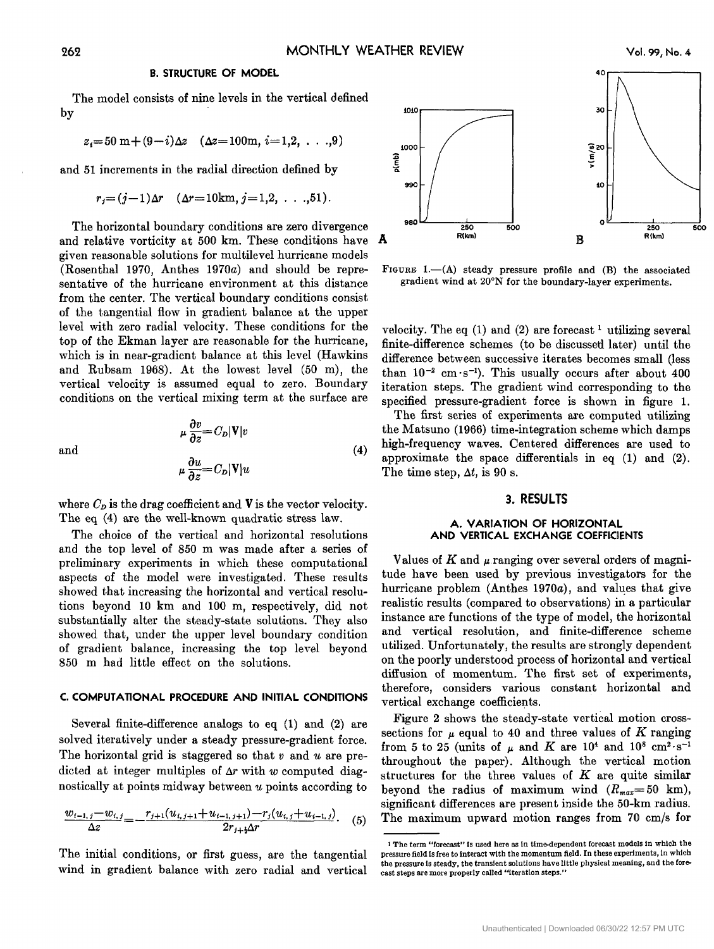#### **B. STRUCTURE OF MODEL**

The model consists of nine levels in the vertical defined bY

$$
z_i = 50 \text{ m} + (9-i) \Delta z \quad (\Delta z = 100 \text{ m}, i = 1, 2, \ldots, 9)
$$

and **51** increments in the radial direction defined by

$$
r_j = (j-1)\Delta r
$$
 ( $\Delta r = 10$ km,  $j = 1, 2, \ldots, 51$ ).

The horizontal boundary conditions are zero divergence and relative vorticity at **500** km. These conditions have given reasonable solutions for multilevel hurricane models (Rosenthal **192'0,** Anthes 197Qa) and should be representative of the hurricane environment at this distance from the center. The vertical boundary conditions consist of the tangential **flow** in gradient balance at the upper level with zero radial velocity. These conditions for the top of the Ekman layer are reasonable for the hurricane, which is in near-gradient balance at this level (Hawkins and Rubsam 1968). At the lowest level **(50** m), the vertical velocity is assumed equal to zero. Boundary conditions on the vertical mixing term at the surface are

and

$$
\mu \frac{\partial v}{\partial z} = C_D |\mathbf{V}| v
$$
  

$$
\mu \frac{\partial u}{\partial z} = C_D |\mathbf{V}| u
$$
 (4)

where  $C_p$  is the drag coefficient and  $V$  is the vector velocity. The eq **(4)** are the well-known quadratic stress law.

The choice of the vertical and horizontal resolutions and the top level of **850** m was made after a series of preliminary experiments in which these computational aspects of the model were investigated. These results showed that increasing the horizontal and vertical resolutions beyond **10** km and **100** m, respectively, did not substantially alter the steady-state solutions. They also showed that, under the upper level boundary condition of gradient balance, increasing the top level beyond **850** m had little effect on the solutions.

# **C. COMPUTATIONAL PROCEDURE AND INITIAL CONDITIONS**

Several finite-difference analogs to eq (1) and **(2)** are solved iteratively under a steady pressure-gradient force. The horizontal grid is staggered so that  $v$  and  $u$  are predicted at integer multiples of  $\Delta r$  with w computed diagnostically at points midway between u points according to

$$
\frac{w_{i-1,j}-w_{i,j}}{\Delta z} = -\frac{r_{j+1}(u_{i,j+1}+u_{i-1,j+1})-r_j(u_{i,j}+u_{i-1,j})}{2r_{j+1}\Delta r}.
$$
 (5)

The initial conditions, or first guess, are the tangential wind in gradient balance with zero radial and vertical



**FIGURE 1.**- $(A)$  steady pressure profile and  $(B)$  the associated gradient wind at **20'N** for the boundary-layer experiments.

velocity. The eq  $(1)$  and  $(2)$  are forecast <sup>1</sup> utilizing several finite-difference schemes (to be discussed later) until the difference between successive iterates becomes small (less than  $10^{-2}$  cm  $\cdot$  s<sup>-1</sup>). This usually occurs after about 400 iteration steps. The gradient wind corresponding to the specified pressure-gradient force is shown in figure **1.** 

The first series of experiments are computed utilizing the Matsuno **(1966)** time-integration scheme which damps high-frequency waves. Centered differences are used to approximate the space differentials in eg (1) and **(2).**  The time step,  $\Delta t$ , is 90 s.

# **3. RESULTS**

#### **A. VARIATION Of HORIZONTAL AND VERTICAL EXCHANGE COEFFICIENTS**

Values of  $K$  and  $\mu$  ranging over several orders of magnitude have been used by previous investigators for the hurricane problem (Anthes 1970a), and values that give realistic results (compared to observations) in a particular instance are functions of the type of model, the horizontal and vertical resolution, and finite-difference scheme utilized. Unfortunately, the results are strongly dependent on the poorly understood process of horizontal and vertical diffusion of momentum. The first set of experiments, therefore, considers various constant horizontal and vertical exchange coefficients.

Figure **2** shows the steady-state vertical motion crosssections for  $\mu$  equal to 40 and three values of  $K$  ranging from 5 to 25 (units of  $\mu$  and  $K$  are 10<sup>4</sup> and 10<sup>8</sup> cm<sup>2</sup>·s<sup>-1</sup> throughout the paper). Although the vertical motion structures **for** the three values **of** *K* are quite similar beyond the radius of maximum wind  $(R_{max}=50 \text{ km})$ , significant differences are present inside the 50-km radius. The maximum upward motion ranges from 70 cm/s **for** 

**<sup>1</sup> The term "forecast" Is used here as In timedependent forecast models In which the pressure field is free to Interact wlth the momentum field. In these expedments, in which**  the pressure is steady, the transient solutions have little physical meaning, and the fore**cast steps are more properly called "lteratlon steps."**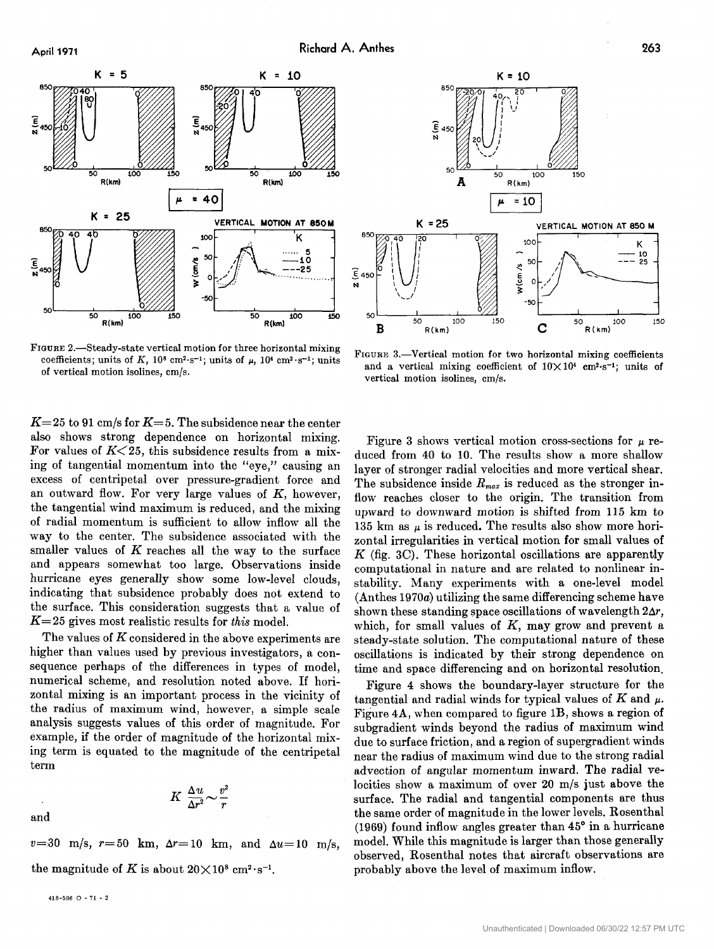

**FIGURE 2.**—Steady-state vertical motion for three horizontal mixing coefficients; units of K,  $10^8$  cm<sup>2</sup>·s<sup>-1</sup>; units of  $\mu$ ,  $10^4$  cm<sup>2</sup>·s<sup>-1</sup>; units of vertical motion isolines, cm/s.

 $K=25$  to 91 cm/s for  $K=5$ . The subsidence near the center also shows strong dependence on horizontal mixing. For values of  $K \leq 25$ , this subsidence results from a mixing of tangential momentum into the "eye," causing an excess of centripetal over pressure-gradient force and an outward flow. For very large values of *K,* however, the tangential wind maximum is reduced, and the mixing of radial momentum is sufficient to allow inflow all the way to the center. The subsidence associated with the smaller values of *K* reaches all the way to the surface and appears somewhat too large. Observations inside hurricane eyes generally show some low-level clouds, indicating that subsidence probably does not extend to the surface. This consideration suggests that a value of *K=25* gives most realistic results for *this* model.

The values of *K* considered in the above experiments are higher than values used by previous investigators, a consequence perhaps of the differences in types of model, numerical scheme, and resolution noted above. If horizontal mixing is an important process in the vicinity of the radius **of** maximum wind, however, a simple scale analysis suggests values of this order of magnitude. For example, if the order of magnitude of the horizontal mixing term is equated to the magnitude of the centripetal term

and

$$
K \; \frac{\Delta u}{\Delta r^2} \!\sim\! \frac{v^2}{r}
$$

v=:30 m/s, r=50 km, *Ar=lO* km, and *Au=lO* m/s, the magnitude of *K* is about  $20 \times 10^8$  cm<sup>2</sup>·s<sup>-1</sup>.



FIGURE 3.-Vertical motion for two horizontal mixing coefficients and a vertical mixing coefficient of  $10 \times 10^4$  cm<sup>2</sup>·s<sup>-1</sup>; units of vertical motion isolines, cm/s.

Figure 3 shows vertical motion cross-sections for  $\mu$  reduced from 40 to 10. The results show a more shallow layer of stronger radial velocities and more vertical shear. The subsidence inside  $R_{max}$  is reduced as the stronger inflow reaches closer to the origin. The transition from upward to downward motion is shifted from *115* km to 135 km as  $\mu$  is reduced. The results also show more horizontal irregularities in vertical motion for small values of *K* (fig. 3C). These horizontal oscillations are apparently computational in nature and are related to nonlinear instability. Many experiments with a one-level model (Anthes **1970a)** utilizing the same differencing scheme have shown these standing space oscillations of wavelength *2Ar,*  which, for small values of *K,* may grow and prevent **a**  steady-state solution. The computational nature of these oscillations is indicated by their strong dependence on time and space differencing and on horizontal resolution.

Figure 4 shows the boundary-layer structure for the tangential and radial winds for typical values of *K* and *p.*  Figure 4A, when compared to figure lB, shows a region **of**  subgradient winds beyond the radius of maximum wind due to surface friction, and a region of supergradient winds near the radius of maximum wind due to the strong radial advection of angular momentum inward. The radial velocities show a maximum of over **20** m/s just above the surface. The radial and tangential components are thus the same order of magnitude in the lower levels. Rosenthal (1969) found inflow angles greater than **45"** in a hurricane model. While this magnitude is larger than those generally observed, Rosenthal notes that aircraft observations are probably above the level of maximum inflow.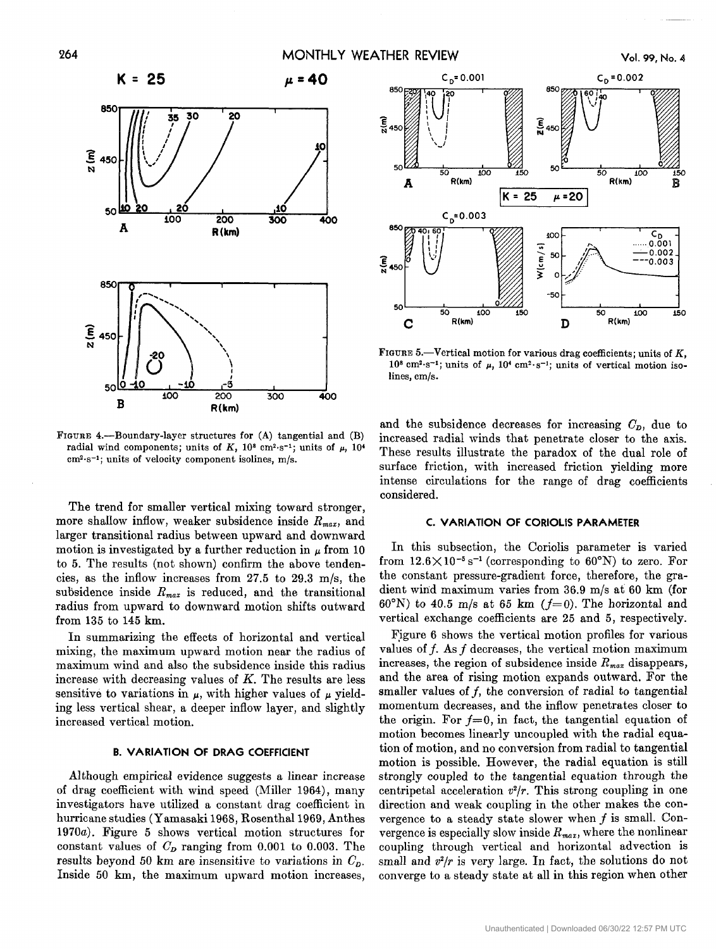

**FIGURE** 4.-Boundary-layer structures **for (A)** tangential and **(B)**  radial wind components; units of  $K$ ,  $10^8$  cm<sup>2</sup>·s<sup>-1</sup>; units of  $\mu$ ,  $10^4$  $cm<sup>2</sup>·s<sup>-1</sup>$ ; units of velocity component isolines, m/s.

The trend for smaller vertical mixing toward stronger, more shallow inflow, weaker subsidence inside  $R_{max}$ , and larger transitional radius between upward and downward motion is investigated by a further reduction in  $\mu$  from 10 to 5. The results (not shown) confirm the above tendencies, as the inflow increases from 27.5 to 29.3 m/s, the subsidence inside  $R_{max}$  is reduced, and the transitional radius from upward to downward motion shifts outward from 135 to 145 km.

In summarizing the effects of horizontal and vertical mixing, the maximum upward motion near the radius of maximum wind and also the subsidence inside this radius increase with decreasing values of *K.* The results are less sensitive to variations in  $\mu$ , with higher values of  $\mu$  yielding less vertical shear, a deeper inflow layer, and slightly increased vertical motion.

## **B. VARIATION OF DRAG COEFFICIENT**

Although empirical evidence suggests a linear increase of drag coefficient with wind speed (Miller 1964), many investigators have utilized a constant drag coefficient in hurricane studies (Yamasaki 1968, Rosenthal 1969, Anthes 1970a). Figure 5 shows vertical motion structures for constant values of  $C_p$  ranging from 0.001 to 0.003. The results beyond 50 km are insensitive to variations in  $C_p$ . Inside **50 km,** the maximum upward motion increases,



FIGURE 5.—Vertical motion for various drag coefficients; units of K,  $10^8$  cm<sup>2</sup>·s<sup>-1</sup>; units of  $\mu$ ,  $10^4$  cm<sup>2</sup>·s<sup>-1</sup>; units of vertical motion isolines, cm/s.

and the subsidence decreases for increasing  $C_D$ , due to increased radial winds that penetrate closer to the axis. These results illustrate the paradox of the dual role of surface friction, with increased friction yielding more intense circulations for the range of drag coefficients considered.

#### **C. VARIATION OF CORIOLIS PARAMETER**

In this subsection, the Coriolis parameter is varied from  $12.6 \times 10^{-5}$  s<sup>-1</sup> (corresponding to 60°N) to zero. For the constant pressure-gradient force, therefore, the gradient wind maximum varies from 36.9 m/s at 60 km (for  $60^{\circ}$ N) to 40.5 m/s at 65 km ( $f=0$ ). The horizontal and vertical exchange coefficients are **25** and 5, respectively.

Figure 6 shows the vertical motion profiles for various values of  $f$ . As  $f$  decreases, the vertical motion maximum increases, the region of subsidence inside  $R_{max}$  disappears, and the area of rising motion expands outward. For the smaller values of  $f$ , the conversion of radial to tangential momentum decreases, and the inflow penetrates closer to the origin. For  $f=0$ , in fact, the tangential equation of motion becomes linearly uncoupled with the radial equation **of** motion, and no conversion from radial to tangential motion is possible. However, the radial equation is still strongly coupled to the tangential equation through the centripetal acceleration  $v^2/r$ . This strong coupling in one direction and weak coupling in the other makes the convergence to a steady state slower when *f* is small. Convergence is especially slow inside  $R_{max}$ , where the nonlinear coupling through vertical and horizontal advection is small and *v2/r* is very large. In fact, the solutions do not converge to a steady state at all in this region when other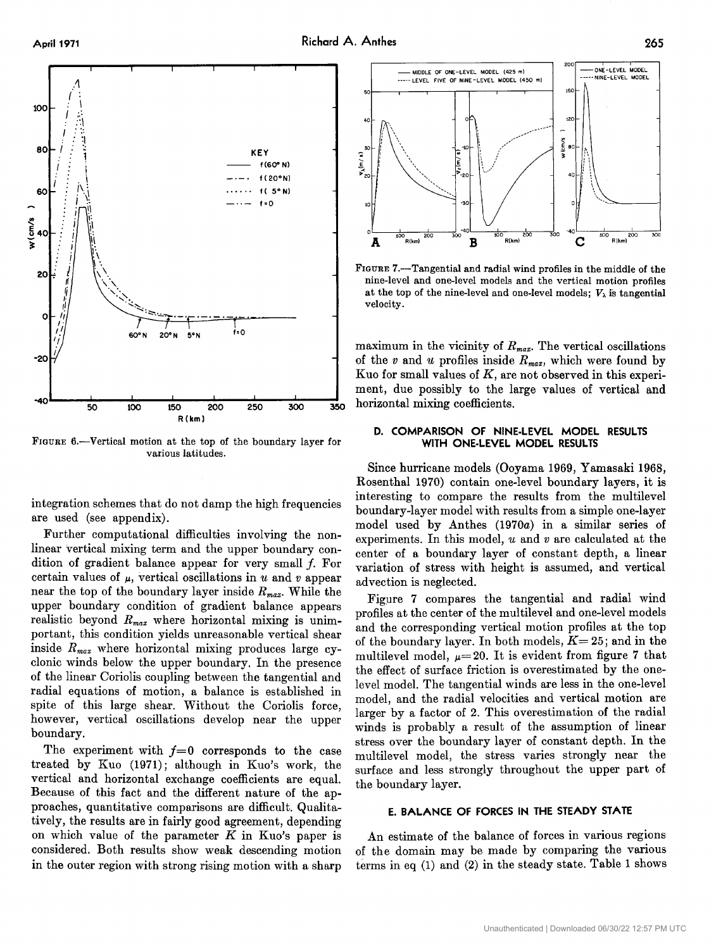

FIGURE 6.-Vertical motion at the top of the boundary layer for various latitudes.

integration schemes that do not damp the high frequencies are used (see appendix).

Further computational difficulties involving the nonlinear vertical mixing term and the upper boundary condition of gradient balance appear for very small *f.* For certain values of  $\mu$ , vertical oscillations in  $u$  and  $v$  appear near the top of the boundary layer inside  $R_{max}$ . While the upper boundary condition of gradient balance appears realistic beyond  $R_{max}$  where horizontal mixing is unimportant, this condition yields unreasonable vertical shear inside  $R_{max}$  where horizontal mixing produces large cyclonic winds below the upper boundary. In the presence of the linear Coriolis coupling between the tangential and radial equations of motion, a balance is established in spite of this large shear. Without the Coriolis force, however, vertical oscillations develop near the upper boundary.

The experiment with  $f=0$  corresponds to the case treated by Kuo (1971); although in Kuo's work, the vertical and horizontal exchange coefficients are equal. Because of this fact and the different nature of the approaches, quantitative comparisons are difficult. Qualitatively, the results are in fairly good agreement, depending on which value of the parameter  $K$  in Kuo's paper is considered. Both results show weak descending motion in the outer region with strong rising motion with a sharp



FIGURE 7.-Tangential and radial wind profiles in the middle of the nine-level and one-level models and the vertical motion profiles at the top of the nine-level and one-level models;  $V_{\lambda}$  is tangential velocity.

maximum in the vicinity of  $R_{max}$ . The vertical oscillations of the v and u profiles inside  $R_{max}$ , which were found by Kuo for small values of *K,* are not observed in this experiment, due possibly to the large values of vertical and horizontal mixing coefficients.

# **D. COMPARISON OF NINE-LEVEL MODEL RESULTS WITH ONE-LEVEL MODEL RESULTS**

Since hurricane models (Ooyama 1969, Yamasaki **1968,**  Rosenthal 1970) contain one-level boundary layers, it is interesting to compare the results from the multilevel boundary-layer model with results from a simple one-layer model used by Anthes (1970a) in a similar series of experiments. In this model,  $u$  and  $v$  are calculated at the center of a boundary layer of constant depth, a linear variation of stress with height is assumed, and vertical advection is neglected.

Figure 7 compares the tangential and radial wind profiles at the center of the multilevel and one-level models and the corresponding vertical motion profiles at the top of the boundary layer. In both models,  $K=25$ ; and in the multilevel model,  $\mu=20$ . It is evident from figure 7 that the effect of surface friction is overestimated by the onelevel model. The tangential winds are less in the one-level model, and the radial velocities and vertical motion are larger by a factor of 2. This overestimation of the radial winds is probably a result of the assumption of linear stress over the boundary layer of constant depth. In the multilevel model, the stress varies strongly near the surface and less strongly throughout the upper part of the boundary layer.

# **E. BALANCE OF FORCES IN THE STEADY STATE**

An estimate of the balance of forces in various regions of the domain may be made by comparing the various terms in eq (1) and **(2)** in the steady state. Table 1 shows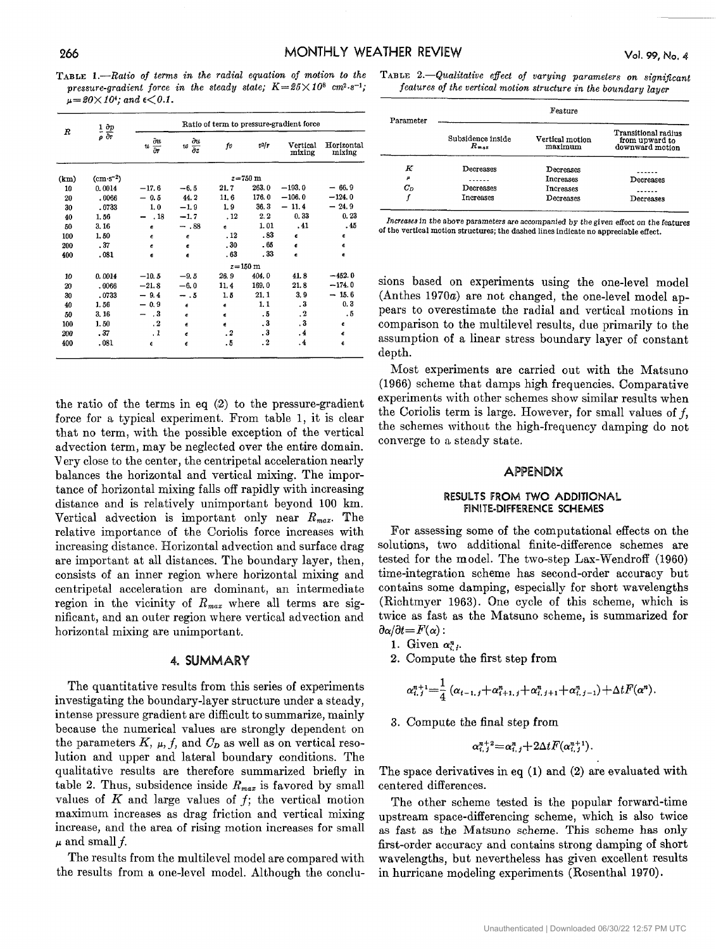**TABLE** *1.-Ratio of terms in the radial equation of motion to the pressure-gradient force in the steady state;*  $K = 25 \times 10^8$  cm<sup>2</sup>·s<sup>-1</sup>;  $\mu = 20 \times 10^4$ ; and  $\epsilon < 0.1$ .

| Ratio of term to pressure-gradient force |                     |                    |                      |
|------------------------------------------|---------------------|--------------------|----------------------|
| ſv                                       | $v^2/r$             | Vertical<br>mixing | Horizontal<br>mixing |
|                                          | $z = 750 \text{ m}$ |                    |                      |
| 21.7                                     | 263.0               | $-193.0$           | $-66.9$              |
| 11.6                                     | 176.0               | $-106.0$           | $-124.0$             |
| 1,9                                      | 36.3                | $-11.4$            | $-24.9$              |
| .12                                      | 2.2                 | 0.33               | 0.23                 |
| É                                        | 1.01                | . 41               | .45                  |
| .12                                      | . 83                | $\epsilon$         | $\pmb{\epsilon}$     |
| .30                                      | .65                 | ć                  | e                    |
| .63                                      | . 33                | e                  | €                    |
|                                          | $z = 150 \text{ m}$ |                    |                      |
| 26.9                                     | 404.0               | 41.8               | $-452.0$             |
| 11.4                                     | 169.0               | 21.8               | $-174.0$             |
| 1.5                                      | 21.1                | 3.9                | $-15.6$              |
| ć                                        | 1.1                 | $\cdot$ 3          | 0, 3                 |
| ć                                        | . 5                 | $\cdot$            | . 5                  |
| ċ                                        | . 3                 | $\cdot$ 3          | €                    |
| $\cdot$ 2                                | . 3                 | . 4                | $\epsilon$           |
| . 5                                      | $\cdot$ 2           | $\cdot$            | €                    |
|                                          |                     |                    |                      |

the ratio of the terms in eq  $(2)$  to the pressure-gradient force for a typical experiment. From table 1, it is clear that no term, with the possible exception of the vertical advection term, may be neglected over the entire domain. Very close to the center, the centripetal acceleration nearly balances the horizontal and vertical mixing. The importance of horizontal mixing falls off rapidly with increasing distance and is relatively unimportant beyond 100 **km.**  Vertical advection is important only near  $R_{max}$ . The relative importance of the Coriolis force increases with increasing distance. Horizontal advection and surface drag are important at all distances. The boundary layer, then, consists of an inner region where horizontal mixing and centripetal acceleration are dominant, an intermediate region in the vicinity of  $R_{max}$  where all terms are significant, and an outer region where vertical advection and horizontal mixing are unimportant.

# 4. SUMMARY

The quantitative results from this series of experiments investigating the boundary-layer structure under a steady, intense pressure gradient are difficult to summarize, mainly because the numerical values are strongly dependent on the parameters  $K$ ,  $\mu$ , f, and  $C_p$  as well as on vertical resolution and upper and lateral boundary conditions. The qualitative results are therefore summarized briefly in table 2. Thus, subsidence inside  $R_{max}$  is favored by small values of  $K$  and large values of  $f$ ; the vertical motion maximum increases as drag friction and vertical mixing increase, and the area of rising motion increases for small  $\mu$  and small  $f$ .

The results from the multilevel model are compared with the results from a one-level model. Although the conclu**TABLE** *2.-Qualitative effect of varying parameters on signijicant features of the vertical motion structure in the boundary layer* 

| Parameter   | Feature                        |                            |                                                          |  |  |
|-------------|--------------------------------|----------------------------|----------------------------------------------------------|--|--|
|             | Subsidence inside<br>$R_{max}$ | Vertical motion<br>maximum | Transitional radius<br>from upward to<br>downward motion |  |  |
| K           | Decreases                      | Decreases                  |                                                          |  |  |
| $\pmb{\mu}$ |                                | Increases                  | Decreases                                                |  |  |
| $C_D$       | Decreases                      | Increases                  |                                                          |  |  |
|             | <b>Increases</b>               | Decreases                  | Decreases                                                |  |  |

*Incremes* **in the above parameters** *are* **accompanied** *by* **the given effect** on **the features of the vertical motion structures; tho dashed lines indicate** no **appreciable effect.** 

sions based on experiments using the one-level model (Anthes  $1970a$ ) are not changed, the one-level model appears to overestimate the radial and vertical motions in comparison to the multilevel results, due primarily to the assumption of a linear stress boundary layer of constant depth.

Most experiments are carried out with the Matsuno (1966) scheme that damps high frequencies. Comparative experiments with other schemes show similar results when the Coriolis term is large. However, for small values of  $f$ , the schemes without the high-frequency damping do not converge to a steady state.

### APPENDIX

#### **WESUETS** FROM **TWO ADDITIONAL**  FINITE-DIFFERENCE SCHEMES

For assessing some of the computational effects on the solutions, two additional finite-difference schemes are tested for the model. The two-step Lax-Wendroff (1960) time-integration scheme has second-order accuracy but contains some damping, especially for short wavelengths (Richtmyer 1963). One cycle of this scheme, which is twice as fast as the Matsuno scheme, is summarized for  $\partial \alpha / \partial t = F(\alpha)$ :

- 1. Given  $\alpha_i^n$ .
- **2.** Compute &he first step from

$$
\alpha_{i,j}^{n+1} = \frac{1}{4} (\alpha_{i-1,j} + \alpha_{i+1,j}^n + \alpha_{i,j+1}^n + \alpha_{i,j-1}^n) + \Delta t F(\alpha^n).
$$

**3.** Compute the final step from

$$
\alpha_{i,j}^{n+2} = \alpha_{i,j}^n + 2\Delta t F(\alpha_{i,j}^{n+1}).
$$

The space derivatives in eq **(1)** and **(2)** are evaluated with centered differences.

The other scheme tested is the popular forward-time upstream space-differencing scheme, which is also twice as fast as the Matsuno scheme. This scheme has only first-order accuracy and contains strong damping of short wavelengths, but nevertheless has given excellent results in hurricane modeling experiments (Rosenthal 1970).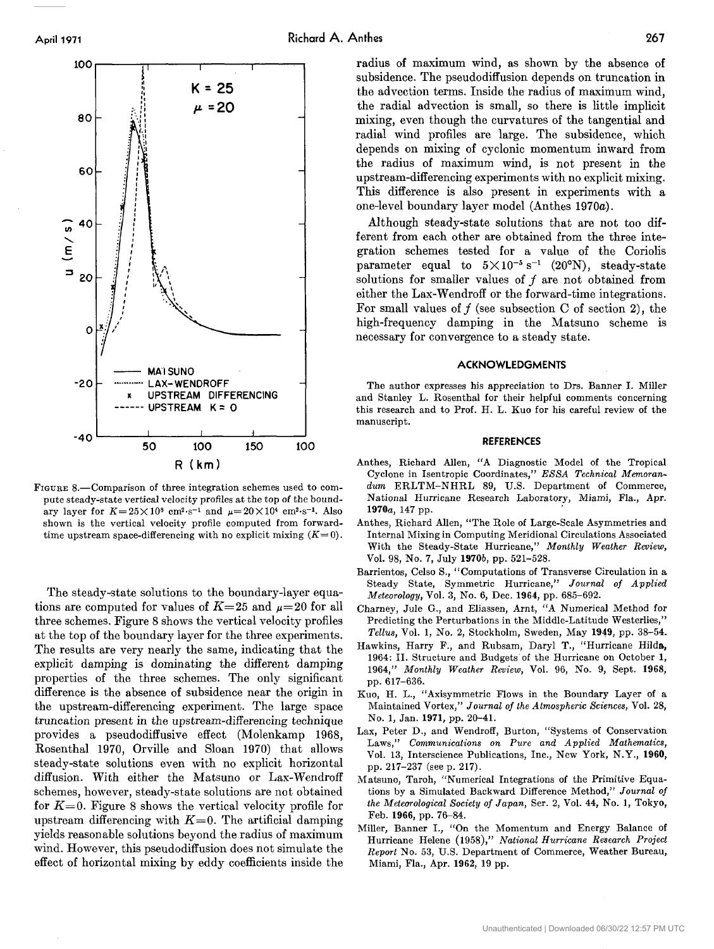

FIGURE 8.-Comparison of three integration schemes used to compute steady-state vertical velocity profiles at the top of the boundary layer for  $K=25\times10^8$  cm<sup>2</sup>·s<sup>-1</sup> and  $\mu=20\times10^4$  cm<sup>2</sup>·s<sup>-1</sup>. Also shown is the vertical velocity profile computed from forwardtime upstream space-differencing with no explicit mixing  $(K=0)$ .

The steady-state solutions to the boundary-layer equations are computed for values of  $K=25$  and  $p=20$  for all three schemes. Figure 8 shows the vertical velocity profiles at the top of the boundary layer for the three experiments. The results are very nearly the same, indicating that the explicit damping is dominating the different damping properties of the three schemes. The only significant difference is the absence of subsidence near the origin in the upstream-differencing experiment. The large space truncation present in the upstream-differencing technique provides a pseudodiffusive effect (Molenkamp **1968,**  Rosenthal **1970,** Orville and Sloan **1970)** that allows steady-state solutions even with no explicit horizontal diffusion. With either the Matsuno or Lax-Wendroff schemes, however, steady-state solutions are not obtained for  $K=0$ . Figure 8 shows the vertical velocity profile for upstream differencing with  $K=0$ . The artificial damping yields reasonable solutions beyond the radius of maximum wind. However, this pseudodiffusion does not simulate the effect of horizontal mixing by eddy coefficients inside the

radius of maximum wind, as shown by the absence of subsidence. The pseudodiffusion depends on truncation in the advection terms. Inside the radius of maximum wind, the radial advection is small, so there is little implicit mixing, even though the curvatures of the tangential and radial wind profiles are large. The subsidence, which depends on mixing of cyclonic momentum inward from the radius of maximum wind, is not present in the upstream-differencing experiments with no explicit mixing. This difference is also present in experiments with a one-level boundary layer model (Anthes **1970a).** 

Although steady-state solutions that are not too different from each other are obtained from the three integration schemes tested **for** a value of the Coriolis parameter equal to  $5\times10^{-5}$  s<sup>-1</sup> (20°N), steady-state solutions for smaller values of  $f$  are not obtained from either the Lax-Wendroff or the forward-time integrations. For small values of  $f$  (see subsection C of section 2), the high-frequency damping in the Matsuno scheme is necessary for convergence to a steady state.

#### **ACKNOWLEDGMENTS**

The author expresses his appreciation to Drs. Banner I. Miller and Stanley L. Rosenthal for their helpful comments concerning this research and to Prof. H. L. Kuo for his careful review of the manuscript.

#### **REFERENCES**

- Anthes, Richard Allen, "A Diagnostic Model of the Tropical Cyclone in Isentropic Coordinates," *ESSA Technical Memorandum* ERLTM-NHRL **89,** U.S. Department of Commerce, National Hurricane Research Laboratory, Miami, Fla., Apr. **1970a, 147** pp.
- Anthes, Richard Allen, "The Role of Large-Scale Asymmetries and Internal Mixing in Computing Meridional Circulations Associated With the Steady-State Hurricane," *Monthly Weather Review,*  Vol. **98, NO. 7,** July **1970b,** pp. **521-528.**
- Barrientos, Celso S., "Computations of Transverse Circulation in a Steady State, Symmetric Hurricane," Journal of *Applied Meteorology,* Vol. **3,** No. **6,** Dec. **1964,** pp. **685-692.**
- Charney, Jule **G.,** and Eliassen, Arnt, "A Numerical Method for Predicting the Perturbations in the Middle-Latitude Westerlies," *Tellus,* Vol. **1,** No. **2,** Stockholm, Sweden, May **1949,** pp. **38-54.**
- Hawkins, Harry F., and Rubsam, Daryl T., "Hurricane Hilda, **1964:** 11. Structure and Budgets of the Hurricane on October **1, 1964,"** *Monthly Weather Review,* Vol. **96,** No. **9,** Sept. **1968,**  pp. **617-636.**
- Kuo, H. L., "Axisymmetric Flows in the Boundary Layer of a Maintained Vortex," *Journal* of *the Atmospheric Sciences,* Vol. **28,**  No. **1,** Jan. **1971,** pp. **20-41.**
- Lax, Peter D., and Wendroff, Burton, "Systems of Conservation Laws," *Communications on Pure and Applied Mathematics,*  Vol. **13,** Interscience Publications, Inc., New York, **N.Y., 1960,**  pp. **217-237** (see p. **217).**
- Matsuno, Taroh, "NumericaI Integrations of the Primitive **Equa**tions by a Simulated Backward Difference Method," *Journal* of *the Meteorological Society* of *Japan,* Ser. **2,** Vol. **44,** No. **1,** Tokyo, Feb. **1966,** pp. **76-84.**
- Miller, Banner I., "On the Momentum and Energy Balance of Hurricane Helene **(1958),"** *National Hurricane Research Project Report* No. **53,** U.S. Department of Commerce, Weather Bureau, Miami, Fla., Apr. **1962, 19** pp.